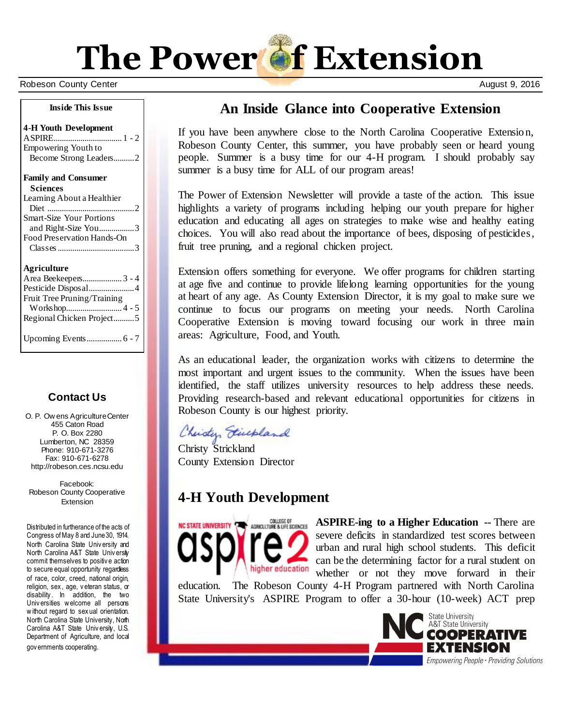

Robeson County Center August 9, 2016

#### **Inside This Issue**

#### **4-H Youth Development**

ASPIRE................................. 1 - 2 Empowering Youth to Become Strong Leaders..........2

#### **Family and Consumer**

#### **Agriculture**

| Area Beekeepers 3 - 4       |  |
|-----------------------------|--|
| Pesticide Disposal4         |  |
| Fruit Tree Pruning/Training |  |
|                             |  |
| Regional Chicken Project5   |  |
|                             |  |
|                             |  |

## **Contact Us**

O. P. Ow ens Agriculture Center 455 Caton Road P. O. Box 2280 Lumberton, NC 28359 Phone: 910-671-3276 Fax: 910-671-6278 http://robeson.ces.ncsu.edu

Facebook: Robeson County Cooperative Extension

Distributed in furtherance of the acts of Congress of May 8 and June 30, 1914. North Carolina State Univ ersity and North Carolina A&T State Univ ersity commit themselves to positiv e action to secure equal opportunity regardless of race, color, creed, national origin, religion, sex , age, v eteran status, or disability. In addition, the two Univ ersities w elcome all persons w ithout regard to sex ual orientation. North Carolina State University, North Carolina A&T State Univ ersity, U.S. Department of Agriculture, and local gov ernments cooperating.

# **An Inside Glance into Cooperative Extension**

If you have been anywhere close to the North Carolina Cooperative Extension, Robeson County Center, this summer, you have probably seen or heard young people. Summer is a busy time for our 4-H program. I should probably say summer is a busy time for ALL of our program areas!

The Power of Extension Newsletter will provide a taste of the action. This issue highlights a variety of programs including helping our youth prepare for higher education and educating all ages on strategies to make wise and healthy eating choices. You will also read about the importance of bees, disposing of pesticides, fruit tree pruning, and a regional chicken project.

Extension offers something for everyone. We offer programs for children starting at age five and continue to provide lifelong learning opportunities for the young at heart of any age. As County Extension Director, it is my goal to make sure we continue to focus our programs on meeting your needs. North Carolina Cooperative Extension is moving toward focusing our work in three main areas: Agriculture, Food, and Youth.

As an educational leader, the organization works with citizens to determine the most important and urgent issues to the community. When the issues have been identified, the staff utilizes university resources to help address these needs. Providing research-based and relevant educational opportunities for citizens in Robeson County is our highest priority.

Christen Fiecpland

Christy Strickland County Extension Director

## **4-H Youth Development**



**ASPIRE-ing to a Higher Education --** There are severe deficits in standardized test scores between urban and rural high school students. This deficit can be the determining factor for a rural student on whether or not they move forward in their

education. The Robeson County 4-H Program partnered with North Carolina State University's ASPIRE Program to offer a 30-hour (10-week) ACT prep

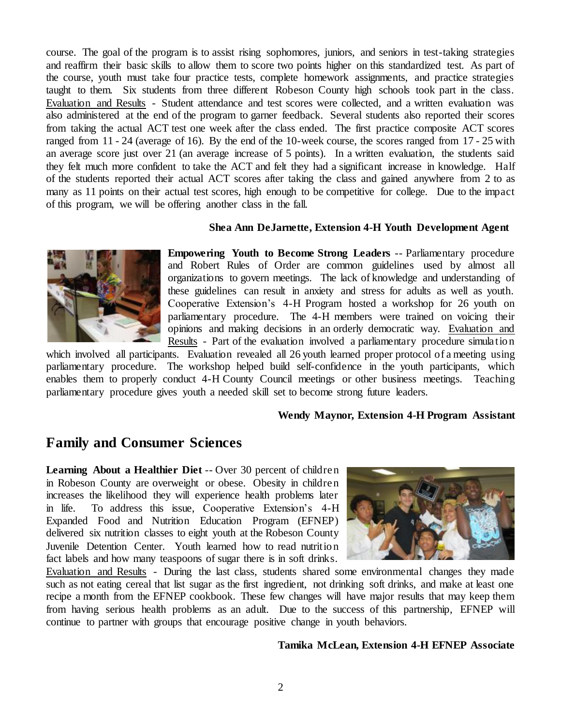course. The goal of the program is to assist rising sophomores, juniors, and seniors in test-taking strategies and reaffirm their basic skills to allow them to score two points higher on this standardized test. As part of the course, youth must take four practice tests, complete homework assignments, and practice strategies taught to them. Six students from three different Robeson County high schools took part in the class. Evaluation and Results - Student attendance and test scores were collected, and a written evaluation was also administered at the end of the program to garner feedback. Several students also reported their scores from taking the actual ACT test one week after the class ended. The first practice composite ACT scores ranged from 11 - 24 (average of 16). By the end of the 10-week course, the scores ranged from 17 - 25 with an average score just over 21 (an average increase of 5 points). In a written evaluation, the students said they felt much more confident to take the ACT and felt they had a significant increase in knowledge. Half of the students reported their actual ACT scores after taking the class and gained anywhere from 2 to as many as 11 points on their actual test scores, high enough to be competitive for college. Due to the impact of this program, we will be offering another class in the fall.

#### **Shea Ann DeJarnette, Extension 4-H Youth Development Agent**



**Empowering Youth to Become Strong Leaders** -- Parliamentary procedure and Robert Rules of Order are common guidelines used by almost all organizations to govern meetings. The lack of knowledge and understanding of these guidelines can result in anxiety and stress for adults as well as youth. Cooperative Extension's 4-H Program hosted a workshop for 26 youth on parliamentary procedure. The 4-H members were trained on voicing their opinions and making decisions in an orderly democratic way. Evaluation and Results - Part of the evaluation involved a parliamentary procedure simulation

which involved all participants. Evaluation revealed all 26 youth learned proper protocol of a meeting using parliamentary procedure. The workshop helped build self-confidence in the youth participants, which enables them to properly conduct 4-H County Council meetings or other business meetings. Teaching parliamentary procedure gives youth a needed skill set to become strong future leaders.

#### **Wendy Maynor, Extension 4-H Program Assistant**

## **Family and Consumer Sciences**

**Learning About a Healthier Diet** -- Over 30 percent of children in Robeson County are overweight or obese. Obesity in children increases the likelihood they will experience health problems later in life. To address this issue, Cooperative Extension's 4-H Expanded Food and Nutrition Education Program (EFNEP) delivered six nutrition classes to eight youth at the Robeson County Juvenile Detention Center. Youth learned how to read nutrition fact labels and how many teaspoons of sugar there is in soft drinks.



Evaluation and Results - During the last class, students shared some environmental changes they made such as not eating cereal that list sugar as the first ingredient, not drinking soft drinks, and make at least one recipe a month from the EFNEP cookbook. These few changes will have major results that may keep them from having serious health problems as an adult. Due to the success of this partnership, EFNEP will continue to partner with groups that encourage positive change in youth behaviors.

#### **Tamika McLean, Extension 4-H EFNEP Associate**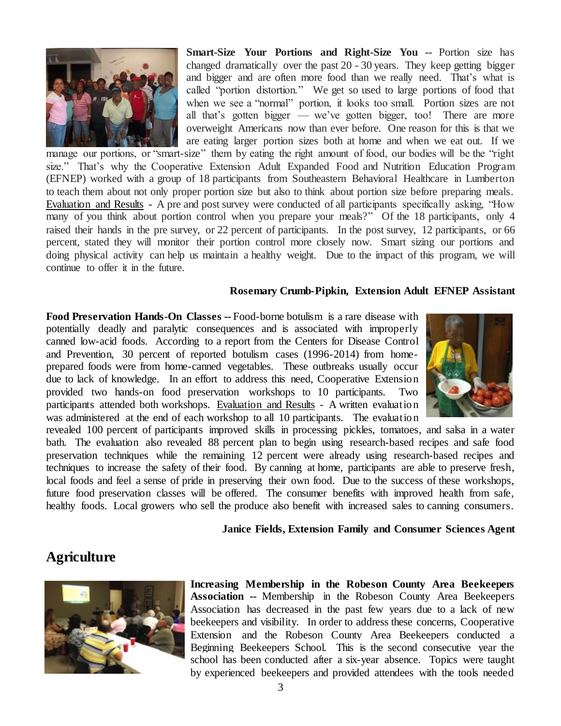

**Smart-Size Your Portions and Right-Size You --** Portion size has changed dramatically over the past 20 - 30 years. They keep getting bigger and bigger and are often more food than we really need. That's what is called "portion distortion." We get so used to large portions of food that when we see a "normal" portion, it looks too small. Portion sizes are not all that's gotten bigger — we've gotten bigger, too! There are more overweight Americans now than ever before. One reason for this is that we are eating larger portion sizes both at home and when we eat out. If we

manage our portions, or "smart-size" them by eating the right amount of food, our bodies will be the "right size." That's why the Cooperative Extension Adult Expanded Food and Nutrition Education Program (EFNEP) worked with a group of 18 participants from Southeastern Behavioral Healthcare in Lumberton to teach them about not only proper portion size but also to think about portion size before preparing meals. Evaluation and Results - A pre and post survey were conducted of all participants specifically asking, "How many of you think about portion control when you prepare your meals?" Of the 18 participants, only 4 raised their hands in the pre survey, or 22 percent of participants. In the post survey, 12 participants, or 66 percent, stated they will monitor their portion control more closely now. Smart sizing our portions and doing physical activity can help us maintain a healthy weight. Due to the impact of this program, we will continue to offer it in the future.

#### **Rosemary Crumb-Pipkin, Extension Adult EFNEP Assistant**

**Food Preservation Hands-On Classes --** Food-borne botulism is a rare disease with potentially deadly and paralytic consequences and is associated with improperly canned low-acid foods. According to a report from the Centers for Disease Control and Prevention, 30 percent of reported botulism cases (1996-2014) from homeprepared foods were from home-canned vegetables. These outbreaks usually occur due to lack of knowledge. In an effort to address this need, Cooperative Extension provided two hands-on food preservation workshops to 10 participants. Two participants attended both workshops. Evaluation and Results - A written evaluation was administered at the end of each workshop to all 10 participants. The evaluation



revealed 100 percent of participants improved skills in processing pickles, tomatoes, and salsa in a water bath. The evaluation also revealed 88 percent plan to begin using research-based recipes and safe food preservation techniques while the remaining 12 percent were already using research-based recipes and techniques to increase the safety of their food. By canning at home, participants are able to preserve fresh, local foods and feel a sense of pride in preserving their own food. Due to the success of these workshops, future food preservation classes will be offered. The consumer benefits with improved health from safe, healthy foods. Local growers who sell the produce also benefit with increased sales to canning consumers.

#### **Janice Fields, Extension Family and Consumer Sciences Agent**

## **Agriculture**



**Increasing Membership in the Robeson County Area Beekeepers Association --** Membership in the Robeson County Area Beekeepers Association has decreased in the past few years due to a lack of new beekeepers and visibility. In order to address these concerns, Cooperative Extension and the Robeson County Area Beekeepers conducted a Beginning Beekeepers School. This is the second consecutive year the school has been conducted after a six-year absence. Topics were taught by experienced beekeepers and provided attendees with the tools needed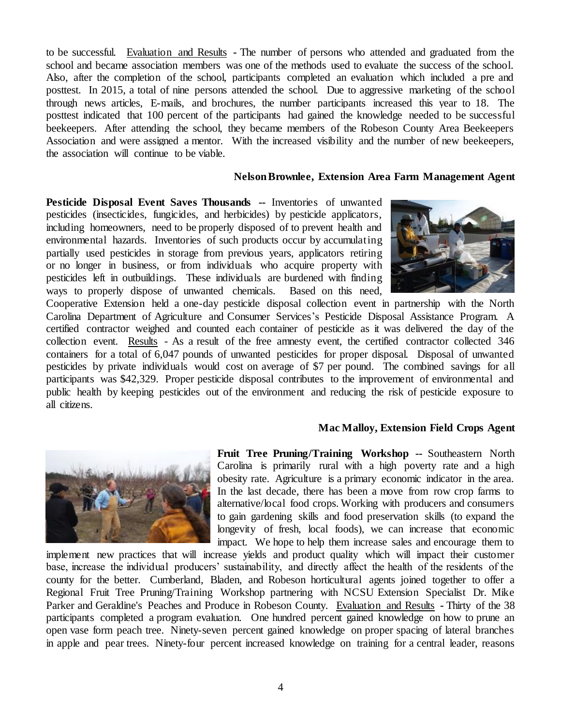to be successful. Evaluation and Results **-** The number of persons who attended and graduated from the school and became association members was one of the methods used to evaluate the success of the school. Also, after the completion of the school, participants completed an evaluation which included a pre and posttest. In 2015, a total of nine persons attended the school. Due to aggressive marketing of the school through news articles, E-mails, and brochures, the number participants increased this year to 18. The posttest indicated that 100 percent of the participants had gained the knowledge needed to be successful beekeepers. After attending the school, they became members of the Robeson County Area Beekeepers Association and were assigned a mentor. With the increased visibility and the number of new beekeepers, the association will continue to be viable.

#### **Nelson Brownlee, Extension Area Farm Management Agent**

**Pesticide Disposal Event Saves Thousands --** Inventories of unwanted pesticides (insecticides, fungicides, and herbicides) by pesticide applicators, including homeowners, need to be properly disposed of to prevent health and environmental hazards. Inventories of such products occur by accumulating partially used pesticides in storage from previous years, applicators retiring or no longer in business, or from individuals who acquire property with pesticides left in outbuildings. These individuals are burdened with finding ways to properly dispose of unwanted chemicals. Based on this need,



Cooperative Extension held a one-day pesticide disposal collection event in partnership with the North Carolina Department of Agriculture and Consumer Services's Pesticide Disposal Assistance Program. A certified contractor weighed and counted each container of pesticide as it was delivered the day of the collection event. Results - As a result of the free amnesty event, the certified contractor collected 346 containers for a total of 6,047 pounds of unwanted pesticides for proper disposal. Disposal of unwanted pesticides by private individuals would cost on average of \$7 per pound. The combined savings for all participants was \$42,329. Proper pesticide disposal contributes to the improvement of environmental and public health by keeping pesticides out of the environment and reducing the risk of pesticide exposure to all citizens.

#### **Mac Malloy, Extension Field Crops Agent**



**Fruit Tree Pruning/Training Workshop --** Southeastern North Carolina is primarily rural with a high poverty rate and a high obesity rate. Agriculture is a primary economic indicator in the area. In the last decade, there has been a move from row crop farms to alternative/local food crops. Working with producers and consumers to gain gardening skills and food preservation skills (to expand the longevity of fresh, local foods), we can increase that economic impact. We hope to help them increase sales and encourage them to

implement new practices that will increase yields and product quality which will impact their customer base, increase the individual producers' sustainability, and directly affect the health of the residents of the county for the better. Cumberland, Bladen, and Robeson horticultural agents joined together to offer a Regional Fruit Tree Pruning/Training Workshop partnering with NCSU Extension Specialist Dr. Mike Parker and Geraldine's Peaches and Produce in Robeson County. Evaluation and Results **-** Thirty of the 38 participants completed a program evaluation. One hundred percent gained knowledge on how to prune an open vase form peach tree. Ninety-seven percent gained knowledge on proper spacing of lateral branches in apple and pear trees. Ninety-four percent increased knowledge on training for a central leader, reasons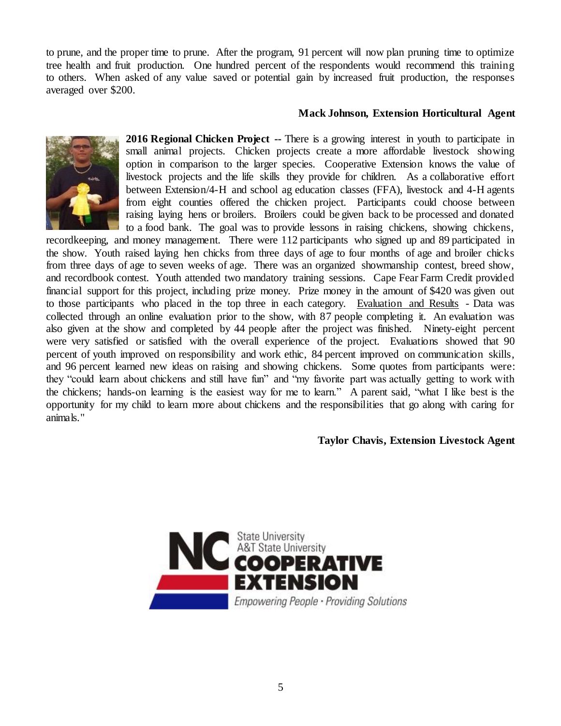to prune, and the proper time to prune. After the program, 91 percent will now plan pruning time to optimize tree health and fruit production. One hundred percent of the respondents would recommend this training to others. When asked of any value saved or potential gain by increased fruit production, the responses averaged over \$200.

## **Mack Johnson, Extension Horticultural Agent**



**2016 Regional Chicken Project --** There is a growing interest in youth to participate in small animal projects. Chicken projects create a more affordable livestock showing option in comparison to the larger species. Cooperative Extension knows the value of livestock projects and the life skills they provide for children. As a collaborative effort between Extension/4-H and school ag education classes (FFA), livestock and 4-H agents from eight counties offered the chicken project. Participants could choose between raising laying hens or broilers. Broilers could be given back to be processed and donated to a food bank. The goal was to provide lessons in raising chickens, showing chickens,

recordkeeping, and money management. There were 112 participants who signed up and 89 participated in the show. Youth raised laying hen chicks from three days of age to four months of age and broiler chicks from three days of age to seven weeks of age. There was an organized showmanship contest, breed show, and recordbook contest. Youth attended two mandatory training sessions. Cape Fear Farm Credit provided financial support for this project, including prize money. Prize money in the amount of \$420 was given out to those participants who placed in the top three in each category. Evaluation and Results - Data was collected through an online evaluation prior to the show, with 87 people completing it. An evaluation was also given at the show and completed by 44 people after the project was finished. Ninety-eight percent were very satisfied or satisfied with the overall experience of the project. Evaluations showed that 90 percent of youth improved on responsibility and work ethic, 84 percent improved on communication skills, and 96 percent learned new ideas on raising and showing chickens. Some quotes from participants were: they "could learn about chickens and still have fun" and "my favorite part was actually getting to work with the chickens; hands-on learning is the easiest way for me to learn." A parent said, "what I like best is the opportunity for my child to learn more about chickens and the responsibilities that go along with caring for animals."

### **Taylor Chavis, Extension Livestock Agent**

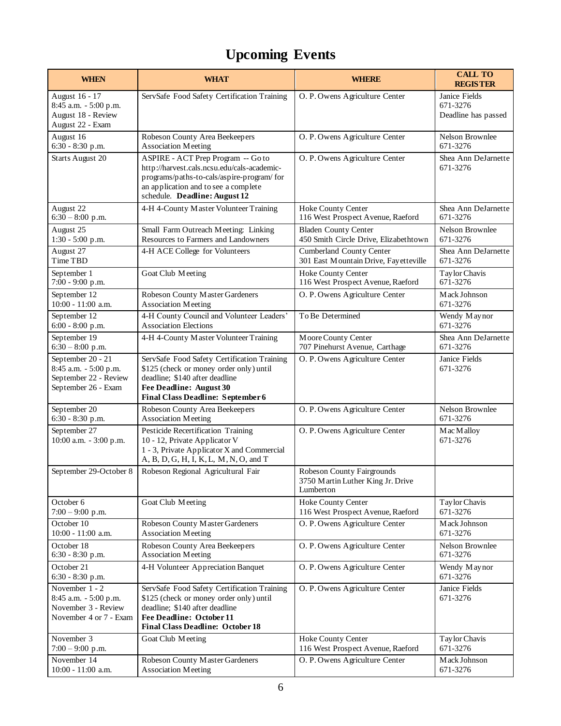# **Upcoming Events**

| <b>WHEN</b>                                                                                | <b>WHAT</b>                                                                                                                                                                                              | <b>WHERE</b>                                                                        | <b>CALL TO</b><br><b>REGISTER</b>                |
|--------------------------------------------------------------------------------------------|----------------------------------------------------------------------------------------------------------------------------------------------------------------------------------------------------------|-------------------------------------------------------------------------------------|--------------------------------------------------|
| August 16 - 17<br>8:45 a.m. - 5:00 p.m.<br>August 18 - Review<br>August 22 - Exam          | ServSafe Food Safety Certification Training                                                                                                                                                              | O. P. Owens Agriculture Center                                                      | Janice Fields<br>671-3276<br>Deadline has passed |
| August 16                                                                                  | Robeson County Area Beekeepers                                                                                                                                                                           | O. P. Owens Agriculture Center                                                      | Nelson Brownlee                                  |
| 6:30 - 8:30 p.m.                                                                           | <b>Association Meeting</b>                                                                                                                                                                               |                                                                                     | 671-3276                                         |
| <b>Starts August 20</b>                                                                    | ASPIRE - ACT Prep Program -- Go to<br>http://harvest.cals.ncsu.edu/cals-academic-<br>programs/paths-to-cals/aspire-program/ for<br>an application and to see a complete<br>schedule. Deadline: August 12 | O. P. Owens Agriculture Center                                                      | Shea Ann DeJarnette<br>671-3276                  |
| August 22                                                                                  | 4-H 4-County Master Volunteer Training                                                                                                                                                                   | Hoke County Center                                                                  | Shea Ann DeJarnette                              |
| $6:30 - 8:00$ p.m.                                                                         |                                                                                                                                                                                                          | 116 West Prospect Avenue, Raeford                                                   | 671-3276                                         |
| August 25                                                                                  | Small Farm Outreach Meeting: Linking                                                                                                                                                                     | <b>Bladen County Center</b>                                                         | Nelson Brownlee                                  |
| 1:30 - 5:00 p.m.                                                                           | Resources to Farmers and Landowners                                                                                                                                                                      | 450 Smith Circle Drive, Elizabethtown                                               | 671-3276                                         |
| August 27                                                                                  | 4-H ACE College for Volunteers                                                                                                                                                                           | Cumberland County Center                                                            | Shea Ann DeJarnette                              |
| Time TBD                                                                                   |                                                                                                                                                                                                          | 301 East Mountain Drive, Fayetteville                                               | 671-3276                                         |
| September 1                                                                                | Goat Club Meeting                                                                                                                                                                                        | Hoke County Center                                                                  | Taylor Chavis                                    |
| 7:00 - 9:00 p.m.                                                                           |                                                                                                                                                                                                          | 116 West Prospect Avenue, Raeford                                                   | 671-3276                                         |
| September 12                                                                               | Robeson County Master Gardeners                                                                                                                                                                          | O. P. Owens Agriculture Center                                                      | Mack Johnson                                     |
| 10:00 - 11:00 a.m.                                                                         | <b>Association Meeting</b>                                                                                                                                                                               |                                                                                     | 671-3276                                         |
| September 12                                                                               | 4-H County Council and Volunteer Leaders'                                                                                                                                                                | To Be Determined                                                                    | Wendy Maynor                                     |
| 6:00 - 8:00 p.m.                                                                           | <b>Association Elections</b>                                                                                                                                                                             |                                                                                     | 671-3276                                         |
| September 19                                                                               | 4-H 4-County Master Volunteer Training                                                                                                                                                                   | Moore County Center                                                                 | Shea Ann DeJarnette                              |
| $6:30 - 8:00$ p.m.                                                                         |                                                                                                                                                                                                          | 707 Pinehurst Avenue, Carthage                                                      | 671-3276                                         |
| September 20 - 21<br>8:45 a.m. - 5:00 p.m.<br>September 22 - Review<br>September 26 - Exam | ServSafe Food Safety Certification Training<br>\$125 (check or money order only) until<br>deadline; \$140 after deadline<br>Fee Deadline: August 30<br><b>Final Class Deadline: September 6</b>          | O. P. Owens Agriculture Center                                                      | Janice Fields<br>671-3276                        |
| September 20                                                                               | Robeson County Area Beekeepers                                                                                                                                                                           | O. P. Owens Agriculture Center                                                      | Nelson Brownlee                                  |
| 6:30 - 8:30 p.m.                                                                           | <b>Association Meeting</b>                                                                                                                                                                               |                                                                                     | 671-3276                                         |
| September 27<br>10:00 a.m. - 3:00 p.m.                                                     | Pesticide Recertification Training<br>10 - 12, Private Applicator V<br>1 - 3, Private Applicator X and Commercial<br>A, B, D, G, H, I, K, L, M, N, O, and T                                              | O. P. Owens Agriculture Center                                                      | Mac Malloy<br>671-3276                           |
| September 29-October 8                                                                     | Robeson Regional Agricultural Fair                                                                                                                                                                       | <b>Robeson County Fairgrounds</b><br>3750 Martin Luther King Jr. Drive<br>Lumberton |                                                  |
| October 6                                                                                  | Goat Club Meeting                                                                                                                                                                                        | Hoke County Center                                                                  | Taylor Chavis                                    |
| $7:00 - 9:00$ p.m.                                                                         |                                                                                                                                                                                                          | 116 West Prospect Avenue, Raeford                                                   | 671-3276                                         |
| October 10                                                                                 | Robeson County Master Gardeners                                                                                                                                                                          | O. P. Owens Agriculture Center                                                      | Mack Johnson                                     |
| $10:00 - 11:00$ a.m.                                                                       | <b>Association Meeting</b>                                                                                                                                                                               |                                                                                     | 671-3276                                         |
| October 18                                                                                 | Robeson County Area Beekeepers                                                                                                                                                                           | O. P. Owens Agriculture Center                                                      | Nelson Brownlee                                  |
| 6:30 - 8:30 p.m.                                                                           | <b>Association Meeting</b>                                                                                                                                                                               |                                                                                     | 671-3276                                         |
| October 21<br>$6:30 - 8:30$ p.m.                                                           | 4-H Volunteer Appreciation Banquet                                                                                                                                                                       | O. P. Owens Agriculture Center                                                      | Wendy Maynor<br>671-3276                         |
| November 1 - 2<br>8:45 a.m. - 5:00 p.m.<br>November 3 - Review<br>November 4 or 7 - Exam   | ServSafe Food Safety Certification Training<br>\$125 (check or money order only) until<br>deadline; \$140 after deadline<br><b>Fee Deadline: October 11</b><br><b>Final Class Deadline: October 18</b>   | O. P. Owens Agriculture Center                                                      | Janice Fields<br>671-3276                        |
| November 3                                                                                 | Goat Club Meeting                                                                                                                                                                                        | Hoke County Center                                                                  | Taylor Chavis                                    |
| $7:00 - 9:00$ p.m.                                                                         |                                                                                                                                                                                                          | 116 West Prospect Avenue, Raeford                                                   | 671-3276                                         |
| November 14                                                                                | Robeson County Master Gardeners                                                                                                                                                                          | O. P. Owens Agriculture Center                                                      | Mack Johnson                                     |
| $10:00 - 11:00$ a.m.                                                                       | <b>Association Meeting</b>                                                                                                                                                                               |                                                                                     | 671-3276                                         |